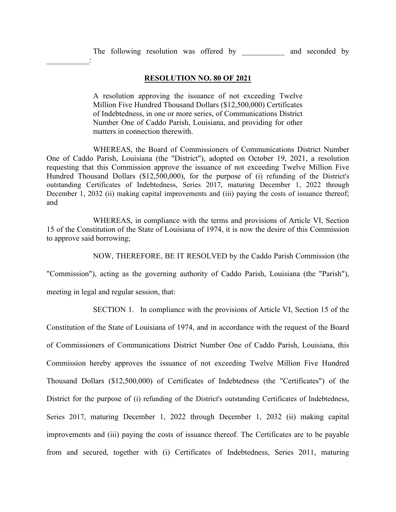The following resolution was offered by and seconded by

## **RESOLUTION NO. 80 OF 2021**

A resolution approving the issuance of not exceeding Twelve Million Five Hundred Thousand Dollars (\$12,500,000) Certificates of Indebtedness, in one or more series, of Communications District Number One of Caddo Parish, Louisiana, and providing for other matters in connection therewith.

WHEREAS, the Board of Commissioners of Communications District Number One of Caddo Parish, Louisiana (the "District"), adopted on October 19, 2021, a resolution requesting that this Commission approve the issuance of not exceeding Twelve Million Five Hundred Thousand Dollars (\$12,500,000), for the purpose of (i) refunding of the District's outstanding Certificates of Indebtedness, Series 2017, maturing December 1, 2022 through December 1, 2032 (ii) making capital improvements and (iii) paying the costs of issuance thereof; and

WHEREAS, in compliance with the terms and provisions of Article VI, Section 15 of the Constitution of the State of Louisiana of 1974, it is now the desire of this Commission to approve said borrowing;

NOW, THEREFORE, BE IT RESOLVED by the Caddo Parish Commission (the

"Commission"), acting as the governing authority of Caddo Parish, Louisiana (the "Parish"),

meeting in legal and regular session, that:

 $\frac{1}{2}$ 

SECTION 1. In compliance with the provisions of Article VI, Section 15 of the

Constitution of the State of Louisiana of 1974, and in accordance with the request of the Board of Commissioners of Communications District Number One of Caddo Parish, Louisiana, this Commission hereby approves the issuance of not exceeding Twelve Million Five Hundred Thousand Dollars (\$12,500,000) of Certificates of Indebtedness (the "Certificates") of the District for the purpose of (i) refunding of the District's outstanding Certificates of Indebtedness, Series 2017, maturing December 1, 2022 through December 1, 2032 (ii) making capital improvements and (iii) paying the costs of issuance thereof. The Certificates are to be payable from and secured, together with (i) Certificates of Indebtedness, Series 2011, maturing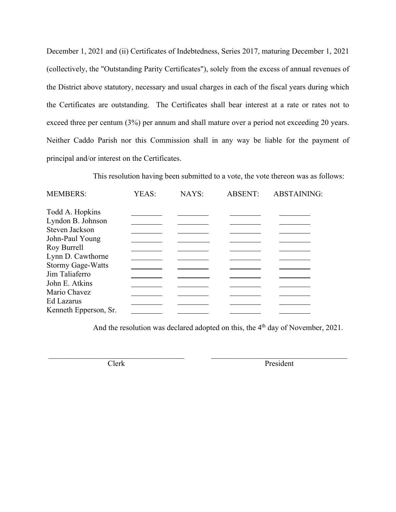December 1, 2021 and (ii) Certificates of Indebtedness, Series 2017, maturing December 1, 2021 (collectively, the "Outstanding Parity Certificates"), solely from the excess of annual revenues of the District above statutory, necessary and usual charges in each of the fiscal years during which the Certificates are outstanding. The Certificates shall bear interest at a rate or rates not to exceed three per centum (3%) per annum and shall mature over a period not exceeding 20 years. Neither Caddo Parish nor this Commission shall in any way be liable for the payment of principal and/or interest on the Certificates.

This resolution having been submitted to a vote, the vote thereon was as follows:

| <b>MEMBERS:</b>          | YEAS: | NAYS: | <b>ABSENT:</b> | <b>ABSTAINING:</b> |
|--------------------------|-------|-------|----------------|--------------------|
| Todd A. Hopkins          |       |       |                |                    |
| Lyndon B. Johnson        |       |       |                |                    |
| Steven Jackson           |       |       |                |                    |
| John-Paul Young          |       |       |                |                    |
| Roy Burrell              |       |       |                |                    |
| Lynn D. Cawthorne        |       |       |                |                    |
| <b>Stormy Gage-Watts</b> |       |       |                |                    |
| Jim Taliaferro           |       |       |                |                    |
| John E. Atkins           |       |       |                |                    |
| Mario Chavez             |       |       |                |                    |
| Ed Lazarus               |       |       |                |                    |
| Kenneth Epperson, Sr.    |       |       |                |                    |

And the resolution was declared adopted on this, the 4<sup>th</sup> day of November, 2021.

\_\_\_\_\_\_\_\_\_\_\_\_\_\_\_\_\_\_\_\_\_\_\_\_\_\_\_\_\_\_\_\_\_\_\_ \_\_\_\_\_\_\_\_\_\_\_\_\_\_\_\_\_\_\_\_\_\_\_\_\_\_\_\_\_\_\_\_\_\_\_

Clerk President